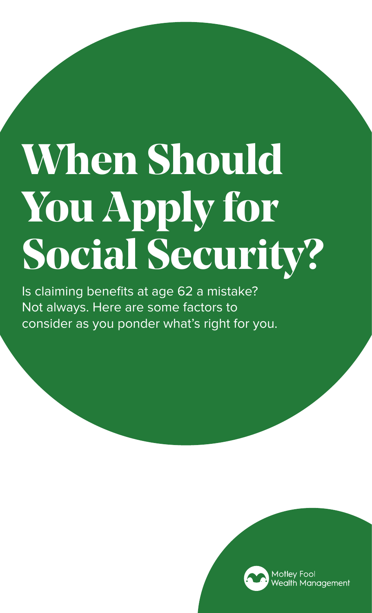# **When Should You Apply for Social Security?**

Is claiming benefits at age 62 a mistake? Not always. Here are some factors to consider as you ponder what's right for you.

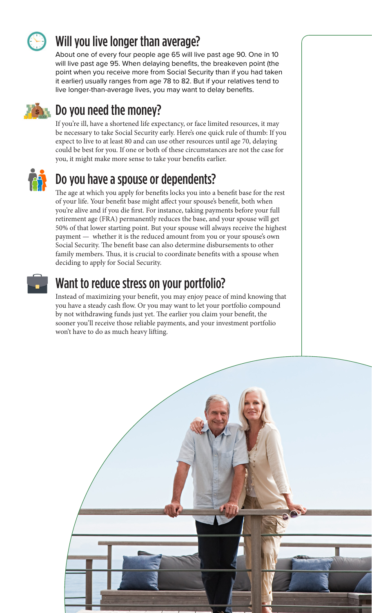

## Will you live longer than average?

About one of every four people age 65 will live past age 90. One in 10 will live past age 95. When delaying benefits, the breakeven point (the point when you receive more from Social Security than if you had taken it earlier) usually ranges from age 78 to 82. But if your relatives tend to live longer-than-average lives, you may want to delay benefits.



### Do you need the money?

If you're ill, have a shortened life expectancy, or face limited resources, it may be necessary to take Social Security early. Here's one quick rule of thumb: If you expect to live to at least 80 and can use other resources until age 70, delaying could be best for you. If one or both of these circumstances are not the case for you, it might make more sense to take your benefits earlier.



### Do you have a spouse or dependents?

The age at which you apply for benefits locks you into a benefit base for the rest of your life. Your benefit base might affect your spouse's benefit, both when you're alive and if you die first. For instance, taking payments before your full retirement age (FRA) permanently reduces the base, and your spouse will get 50% of that lower starting point. But your spouse will always receive the highest payment — whether it is the reduced amount from you or your spouse's own Social Security. The benefit base can also determine disbursements to other family members. Thus, it is crucial to coordinate benefits with a spouse when deciding to apply for Social Security.



#### Want to reduce stress on your portfolio?

Instead of maximizing your benefit, you may enjoy peace of mind knowing that you have a steady cash flow. Or you may want to let your portfolio compound by not withdrawing funds just yet. The earlier you claim your benefit, the sooner you'll receive those reliable payments, and your investment portfolio won't have to do as much heavy lifting.